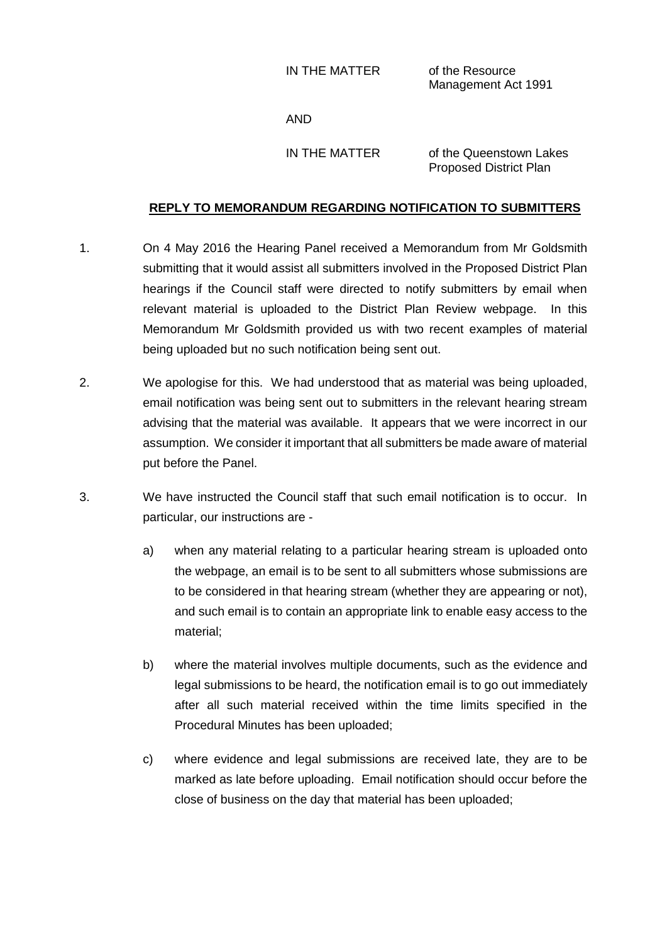IN THE MATTER of the Resource

Management Act 1991

AND

IN THE MATTER of the Queenstown Lakes Proposed District Plan

## **REPLY TO MEMORANDUM REGARDING NOTIFICATION TO SUBMITTERS**

- 1. On 4 May 2016 the Hearing Panel received a Memorandum from Mr Goldsmith submitting that it would assist all submitters involved in the Proposed District Plan hearings if the Council staff were directed to notify submitters by email when relevant material is uploaded to the District Plan Review webpage. In this Memorandum Mr Goldsmith provided us with two recent examples of material being uploaded but no such notification being sent out.
- 2. We apologise for this. We had understood that as material was being uploaded, email notification was being sent out to submitters in the relevant hearing stream advising that the material was available. It appears that we were incorrect in our assumption. We consider it important that all submitters be made aware of material put before the Panel.
- 3. We have instructed the Council staff that such email notification is to occur. In particular, our instructions are
	- a) when any material relating to a particular hearing stream is uploaded onto the webpage, an email is to be sent to all submitters whose submissions are to be considered in that hearing stream (whether they are appearing or not), and such email is to contain an appropriate link to enable easy access to the material;
	- b) where the material involves multiple documents, such as the evidence and legal submissions to be heard, the notification email is to go out immediately after all such material received within the time limits specified in the Procedural Minutes has been uploaded;
	- c) where evidence and legal submissions are received late, they are to be marked as late before uploading. Email notification should occur before the close of business on the day that material has been uploaded;